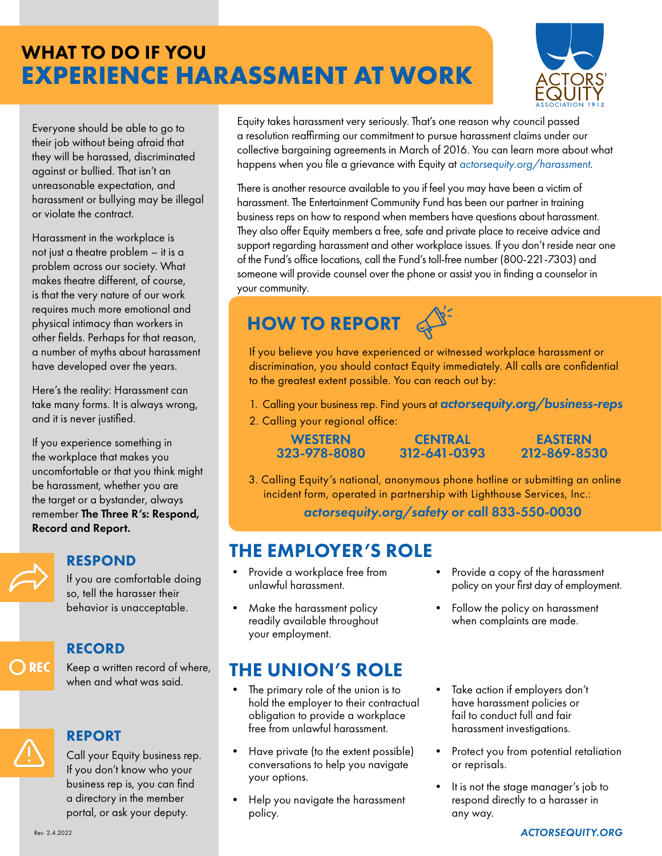## WHAT TO DO IF YOU **EXPERIENCE HARASSMENT AT WORK**



Everyone should be able to go to their job without being afraid that they will be harassed, discriminated against or bullied. That isn't an unreasonable expectation, and harassment or bullying may be illegal or violate the contract.

Harassment in the workplace is not just a theatre problem – it is a problem across our society. What makes theatre different, of course, is that the very nature of our work requires much more emotional and physical intimacy than workers in other fields. Perhaps for that reason, a number of myths about harassment have developed over the years.

Here's the reality: Harassment can take many forms. It is always wrong, and it is never justified.

If you experience something in the workplace that makes you uncomfortable or that you think might be harassment, whether you are the target or a bystander, always remember The Three R's: Respond, Record and Report.



#### RESPOND

If you are comfortable doing so, tell the harasser their behavior is unacceptable.

#### RECORD  $\bigcirc$  REC

Keep a written record of where, when and what was said.

## REPORT

Call your Equity business rep. If you don't know who your business rep is, you can find a [directory in the member](https://members.actorsequity.org/on-the-job/business-rep-list/)  [portal,](https://members.actorsequity.org/on-the-job/business-rep-list/) or ask your deputy.

Equity takes harassment very seriously. That's one reason why council passed a resolution reaffirming our commitment to pursue harassment claims under our collective bargaining agreements in March of 2016. You can learn more about what happens when you file a grievance with Equity at *a[ctorsequity.org/harassment](http://ActorsEquity.org/Harassment)*.

There is another resource available to you if feel you may have been a victim of harassment. The Entertainment Community Fund has been our partner in training business reps on how to respond when members have questions about harassment. They also offer Equity members a free, safe and private place to receive advice and support regarding harassment and other workplace issues. If you don't reside near one of the Fund's office locations, call the Fund's toll-free number (800-221-7303) and someone will provide counsel over the phone or assist you in finding a counselor in your community.

# HOW TO REPORT

If you believe you have experienced or witnessed workplace harassment or discrimination, you should contact Equity immediately. All calls are confidential to the greatest extent possible. You can reach out by:

- 1. Calling your business rep. Find yours at *[actorsequity.org/business-reps](http://actorsequity.org/business-reps)*
- 2. Calling your regional office:

**WESTERN** 323-978-8080

**CENTRAL** 312-641-0393

EASTERN 212-869-8530

3. Calling Equity's national, anonymous phone hotline or submitting an online incident form, operated in partnership with Lighthouse Services, Inc.:

*[actorsequity.org/safety](http://ActorsEquity.org/Safety)* or call 833-550-0030

## THE EMPLOYER'S ROLE

- Provide a workplace free from unlawful harassment.
- Make the harassment policy readily available throughout your employment.

## THE UNION'S ROLE

- The primary role of the union is to hold the employer to their contractual obligation to provide a workplace free from unlawful harassment.
- Have private (to the extent possible) conversations to help you navigate your options.
- Help you navigate the harassment policy.
- Provide a copy of the harassment policy on your first day of employment.
- Follow the policy on harassment when complaints are made.
- Take action if employers don't have harassment policies or fail to conduct full and fair harassment investigations.
- Protect you from potential retaliation or reprisals.
- It is not the stage manager's job to respond directly to a harasser in any way.